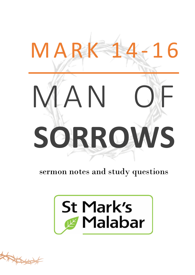# MAN OF **SORROWS** M A R K 14-16

sermon notes and study questions



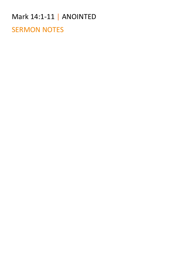#### Mark 14:1-11 | ANOINTED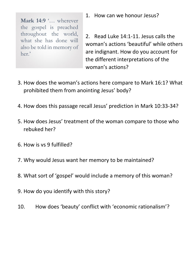**Mark 14:9** '… wherever the gospel is preached throughout the world, what she has done will also be told in memory of her.'

1. How can we honour Jesus?

2. Read Luke 14:1-11. Jesus calls the woman's actions 'beautiful' while others are indignant. How do you account for the different interpretations of the woman's actions?

- 3. How does the woman's actions here compare to Mark 16:1? What prohibited them from anointing Jesus' body?
- 4. How does this passage recall Jesus' prediction in Mark 10:33-34?
- 5. How does Jesus' treatment of the woman compare to those who rebuked her?
- 6. How is vs 9 fulfilled?
- 7. Why would Jesus want her memory to be maintained?
- 8. What sort of 'gospel' would include a memory of this woman?
- 9. How do you identify with this story?
- 10. How does 'beauty' conflict with 'economic rationalism'?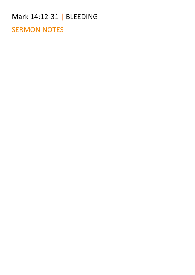#### Mark 14:12-31 | BLEEDING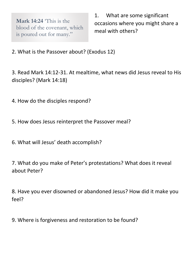**Mark 14:24** 'This is the blood of the covenant, which is poured out for many."

1. What are some significant occasions where you might share a meal with others?

2. What is the Passover about? (Exodus 12)

3. Read Mark 14:12-31. At mealtime, what news did Jesus reveal to His disciples? (Mark 14:18)

4. How do the disciples respond?

5. How does Jesus reinterpret the Passover meal?

6. What will Jesus' death accomplish?

7. What do you make of Peter's protestations? What does it reveal about Peter?

8. Have you ever disowned or abandoned Jesus? How did it make you feel?

9. Where is forgiveness and restoration to be found?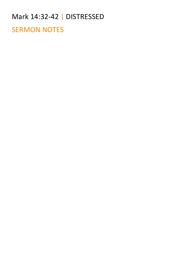## Mark 14:32-42 | DISTRESSED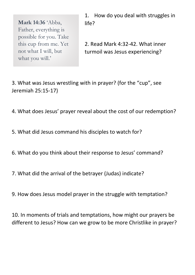**Mark 14:36** 'Abba, Father, everything is possible for you. Take this cup from me. Yet not what I will, but what you will.'

1. How do you deal with struggles in life?

2. Read Mark 4:32-42. What inner turmoil was Jesus experiencing?

3. What was Jesus wrestling with in prayer? (for the "cup", see Jeremiah 25:15-17)

4. What does Jesus' prayer reveal about the cost of our redemption?

- 5. What did Jesus command his disciples to watch for?
- 6. What do you think about their response to Jesus' command?
- 7. What did the arrival of the betrayer (Judas) indicate?
- 9. How does Jesus model prayer in the struggle with temptation?

10. In moments of trials and temptations, how might our prayers be different to Jesus? How can we grow to be more Christlike in prayer?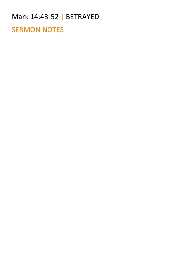### Mark 14:43-52 | BETRAYED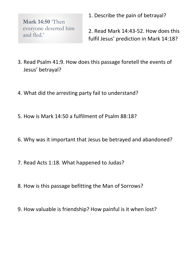**Mark 14:50** 'Then everyone deserted him and fled.'

1. Describe the pain of betrayal?

2. Read Mark 14:43-52. How does this fulfil Jesus' prediction in Mark 14:18?

- 3. Read Psalm 41:9. How does this passage foretell the events of Jesus' betrayal?
- 4. What did the arresting party fail to understand?
- 5. How is Mark 14:50 a fulfilment of Psalm 88:18?
- 6. Why was it important that Jesus be betrayed and abandoned?
- 7. Read Acts 1:18. What happened to Judas?
- 8. How is this passage befitting the Man of Sorrows?
- 9. How valuable is friendship? How painful is it when lost?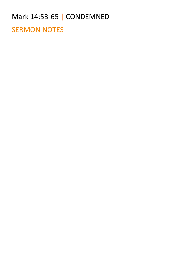#### Mark 14:53-65 | CONDEMNED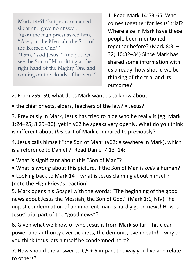**Mark 14:61** 'But Jesus remained silent and gave no answer. Again the high priest asked him, "Are you the Messiah, the Son of the Blessed One?" "I am," said Jesus. "And you will see the Son of Man sitting at the right hand of the Mighty One and coming on the clouds of heaven."'

1. Read Mark 14:53-65. Who comes together for Jesus' trial? Where else in Mark have these people been mentioned together before? (Mark 8:31– 32; 10:32–34) Since Mark has shared some information with us already, how should we be thinking of the trial and its outcome?

2. From v55–59, what does Mark want us to know about:

• the chief priests, elders, teachers of the law? • Jesus?

3. Previously in Mark, Jesus has tried to hide who he really is (eg. Mark 1:24–25; 8:29–30), yet in v62 he speaks very openly. What do you think is different about *this* part of Mark compared to previously?

4. Jesus calls himself "the Son of Man" (v62; elsewhere in Mark), which is a reference to Daniel 7. Read Daniel 7:13–14:

- What is significant about this "Son of Man"?
- What is *wrong* about this picture, if the Son of Man is *only* a human?
- Looking back to Mark 14 what is Jesus claiming about himself? (note the High Priest's reaction)

5. Mark opens his Gospel with the words: "The beginning of the good news about Jesus the Messiah, the Son of God." (Mark 1:1, NIV) The unjust condemnation of an innocent man is hardly good news! How is Jesus' trial part of the "good news"?

6. Given what we know of who Jesus is from Mark so far – his clear power and authority over sickness, the demonic, even death! – why do you think Jesus lets himself be condemned here?

7. How should the answer to Q5 + 6 impact the way you live and relate to others?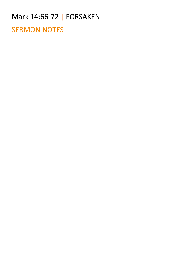#### Mark 14:66-72 | FORSAKEN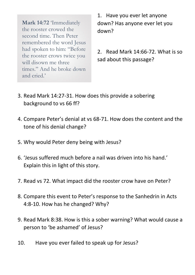**Mark 14:72** 'Immediately the rooster crowed the second time. Then Peter remembered the word Jesus had spoken to him: "Before the rooster crows twice you will disown me three times." And he broke down and cried.'

1. Have you ever let anyone down? Has anyone ever let you down?

2. Read Mark 14:66-72. What is so sad about this passage?

- 3. Read Mark 14:27-31. How does this provide a sobering background to vs 66 ff?
- 4. Compare Peter's denial at vs 68-71. How does the content and the tone of his denial change?
- 5. Why would Peter deny being with Jesus?
- 6. 'Jesus suffered much before a nail was driven into his hand.' Explain this in light of this story.
- 7. Read vs 72. What impact did the rooster crow have on Peter?
- 8. Compare this event to Peter's response to the Sanhedrin in Acts 4:8-10. How has he changed? Why?
- 9. Read Mark 8:38. How is this a sober warning? What would cause a person to 'be ashamed' of Jesus?
- 10. Have you ever failed to speak up for Jesus?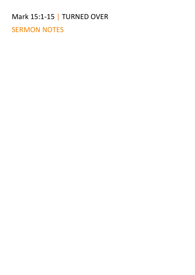#### Mark 15:1-15 | TURNED OVER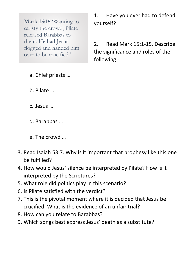**Mark 15:15** Wanting to satisfy the crowd, Pilate released Barabbas to them. He had Jesus flogged and handed him over to be crucified.'

1. Have you ever had to defend yourself?

2. Read Mark 15:1-15. Describe the significance and roles of the following:-

- a. Chief priests …
- b. Pilate …
- c. Jesus …
- d. Barabbas …
- e. The crowd …
- 3. Read Isaiah 53:7. Why is it important that prophesy like this one be fulfilled?
- 4. How would Jesus' silence be interpreted by Pilate? How is it interpreted by the Scriptures?
- 5. What role did politics play in this scenario?
- 6. Is Pilate satisfied with the verdict?
- 7. This is the pivotal moment where it is decided that Jesus be crucified. What is the evidence of an unfair trial?
- 8. How can you relate to Barabbas?
- 9. Which songs best express Jesus' death as a substitute?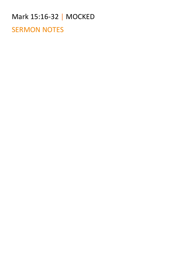# Mark 15:16-32 | MOCKED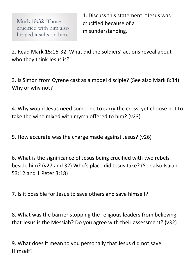**Mark 15:32** 'Those crucified with him also heaped insults on him.'

1. Discuss this statement: "Jesus was crucified because of a misunderstanding."

2. Read Mark 15:16-32. What did the soldiers' actions reveal about who they think Jesus is?

3. Is Simon from Cyrene cast as a model disciple? (See also Mark 8:34) Why or why not?

4. Why would Jesus need someone to carry the cross, yet choose not to take the wine mixed with myrrh offered to him? (v23)

5. How accurate was the charge made against Jesus? (v26)

6. What is the significance of Jesus being crucified with two rebels beside him? (v27 and 32) Who's place did Jesus take? (See also Isaiah 53:12 and 1 Peter 3:18)

7. Is it possible for Jesus to save others and save himself?

8. What was the barrier stopping the religious leaders from believing that Jesus is the Messiah? Do you agree with their assessment? (v32)

9. What does it mean to you personally that Jesus did not save Himself?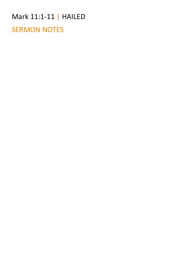#### Mark 11:1-11 | HAILED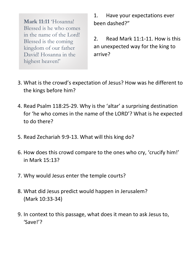**Mark 11:11** 'Hosanna! Blessed is he who comes in the name of the Lord! Blessed is the coming kingdom of our father David! Hosanna in the highest heaven!'

1. Have your expectations ever been dashed?"

2. Read Mark 11:1-11. How is this an unexpected way for the king to arrive?

- 3. What is the crowd's expectation of Jesus? How was he different to the kings before him?
- 4. Read Psalm 118:25-29. Why is the 'altar' a surprising destination for 'he who comes in the name of the LORD'? What is he expected to do there?
- 5. Read Zechariah 9:9-13. What will this king do?
- 6. How does this crowd compare to the ones who cry, 'crucify him!' in Mark 15:13?
- 7. Why would Jesus enter the temple courts?
- 8. What did Jesus predict would happen in Jerusalem? (Mark 10:33-34)
- 9. In context to this passage, what does it mean to ask Jesus to, 'Save!'?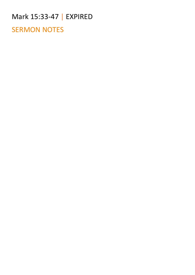#### Mark 15:33-47 | EXPIRED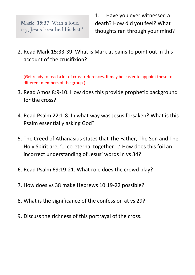**Mark 15:37** 'With a loud cry, Jesus breathed his last.' 1. Have you ever witnessed a death? How did you feel? What thoughts ran through your mind?

2. Read Mark 15:33-39. What is Mark at pains to point out in this account of the crucifixion?

(Get ready to read a lot of cross-references. It may be easier to appoint these to different members of the group.)

- 3. Read Amos 8:9-10. How does this provide prophetic background for the cross?
- 4. Read Psalm 22:1-8. In what way was Jesus forsaken? What is this Psalm essentially asking God?
- 5. The Creed of Athanasius states that The Father, The Son and The Holy Spirit are, '… co-eternal together …' How does this foil an incorrect understanding of Jesus' words in vs 34?
- 6. Read Psalm 69:19-21. What role does the crowd play?
- 7. How does vs 38 make Hebrews 10:19-22 possible?
- 8. What is the significance of the confession at vs 29?
- 9. Discuss the richness of this portrayal of the cross.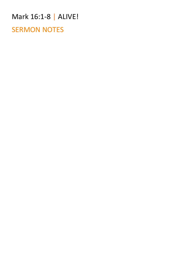#### Mark 16:1-8 | ALIVE!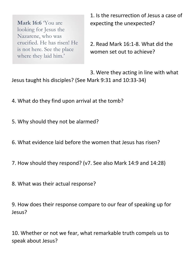**Mark 16:6** You are looking for Jesus the Nazarene, who was crucified. He has risen! He is not here. See the place where they laid him.'

1. Is the resurrection of Jesus a case of expecting the unexpected?

2. Read Mark 16:1-8. What did the women set out to achieve?

3. Were they acting in line with what Jesus taught his disciples? (See Mark 9:31 and 10:33-34)

- 4. What do they find upon arrival at the tomb?
- 5. Why should they not be alarmed?
- 6. What evidence laid before the women that Jesus has risen?
- 7. How should they respond? (v7. See also Mark 14:9 and 14:28)
- 8. What was their actual response?

9. How does their response compare to our fear of speaking up for Jesus?

10. Whether or not we fear, what remarkable truth compels us to speak about Jesus?